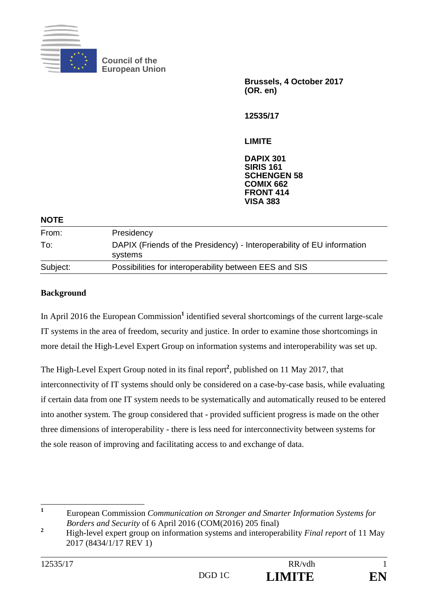

**Council of the European Union** 

> **Brussels, 4 October 2017 (OR. en)**

**12535/17** 

**LIMITE** 

**DAPIX 301 SIRIS 161 SCHENGEN 58 COMIX 662 FRONT 414 VISA 383**

| <b>NOTE</b> |                                                                                   |
|-------------|-----------------------------------------------------------------------------------|
| From:       | Presidency                                                                        |
| To:         | DAPIX (Friends of the Presidency) - Interoperability of EU information<br>systems |
| Subject:    | Possibilities for interoperability between EES and SIS                            |
|             |                                                                                   |

## **Background**

In April 2016 the European Commission<sup>1</sup> identified several shortcomings of the current large-scale IT systems in the area of freedom, security and justice. In order to examine those shortcomings in more detail the High-Level Expert Group on information systems and interoperability was set up.

The High-Level Expert Group noted in its final report**<sup>2</sup>** , published on 11 May 2017, that interconnectivity of IT systems should only be considered on a case-by-case basis, while evaluating if certain data from one IT system needs to be systematically and automatically reused to be entered into another system. The group considered that - provided sufficient progress is made on the other three dimensions of interoperability - there is less need for interconnectivity between systems for the sole reason of improving and facilitating access to and exchange of data.

 **1** European Commission *Communication on Stronger and Smarter Information Systems for Borders and Security* of 6 April 2016 (COM(2016) 205 final)

**<sup>2</sup>** High-level expert group on information systems and interoperability *Final report* of 11 May 2017 (8434/1/17 REV 1)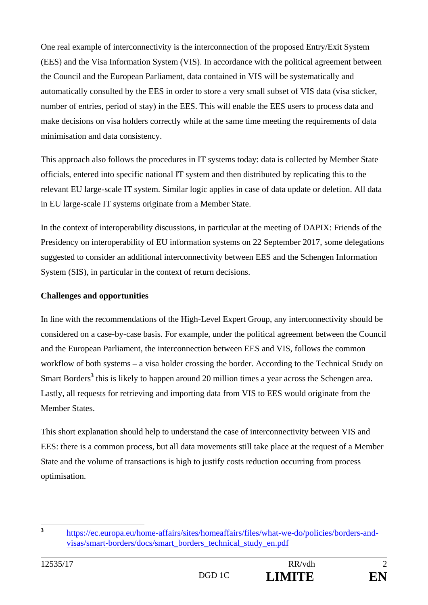One real example of interconnectivity is the interconnection of the proposed Entry/Exit System (EES) and the Visa Information System (VIS). In accordance with the political agreement between the Council and the European Parliament, data contained in VIS will be systematically and automatically consulted by the EES in order to store a very small subset of VIS data (visa sticker, number of entries, period of stay) in the EES. This will enable the EES users to process data and make decisions on visa holders correctly while at the same time meeting the requirements of data minimisation and data consistency.

This approach also follows the procedures in IT systems today: data is collected by Member State officials, entered into specific national IT system and then distributed by replicating this to the relevant EU large-scale IT system. Similar logic applies in case of data update or deletion. All data in EU large-scale IT systems originate from a Member State.

In the context of interoperability discussions, in particular at the meeting of DAPIX: Friends of the Presidency on interoperability of EU information systems on 22 September 2017, some delegations suggested to consider an additional interconnectivity between EES and the Schengen Information System (SIS), in particular in the context of return decisions.

## **Challenges and opportunities**

In line with the recommendations of the High-Level Expert Group, any interconnectivity should be considered on a case-by-case basis. For example, under the political agreement between the Council and the European Parliament, the interconnection between EES and VIS, follows the common workflow of both systems – a visa holder crossing the border. According to the Technical Study on Smart Borders<sup>3</sup> this is likely to happen around 20 million times a year across the Schengen area. Lastly, all requests for retrieving and importing data from VIS to EES would originate from the Member States.

This short explanation should help to understand the case of interconnectivity between VIS and EES: there is a common process, but all data movements still take place at the request of a Member State and the volume of transactions is high to justify costs reduction occurring from process optimisation.

 $\overline{3}$ **<sup>3</sup>** https://ec.europa.eu/home-affairs/sites/homeaffairs/files/what-we-do/policies/borders-andvisas/smart-borders/docs/smart\_borders\_technical\_study\_en.pdf